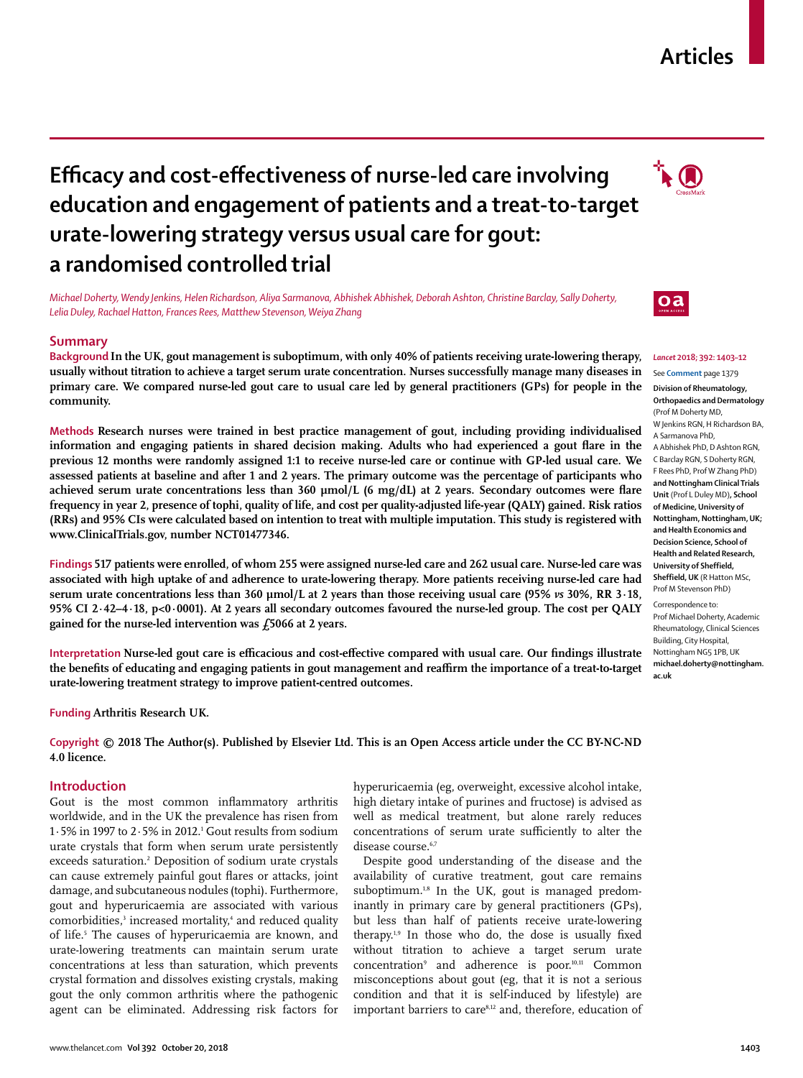#### www.thelancet.com**Vol 392 October 20, 2018 1403**

# **Efficacy and cost-effectiveness of nurse-led care involving education and engagement of patients and a treat-to-target urate-lowering strategy versus usual care for gout: a randomised controlled trial**

*Michael Doherty, Wendy Jenkins, Helen Richardson, Aliya Sarmanova, Abhishek Abhishek, Deborah Ashton, Christine Barclay, Sally Doherty, Lelia Duley, Rachael Hatton, Frances Rees, Matthew Stevenson, Weiya Zhang*

# **Summary**

**Background In the UK, gout management is suboptimum, with only 40% of patients receiving urate-lowering therapy, usually without titration to achieve a target serum urate concentration. Nurses successfully manage many diseases in primary care. We compared nurse-led gout care to usual care led by general practitioners (GPs) for people in the community.**

**Methods Research nurses were trained in best practice management of gout, including providing individualised information and engaging patients in shared decision making. Adults who had experienced a gout flare in the previous 12 months were randomly assigned 1:1 to receive nurse-led care or continue with GP-led usual care. We assessed patients at baseline and after 1 and 2 years. The primary outcome was the percentage of participants who achieved serum urate concentrations less than 360 μmol/L (6 mg/dL) at 2 years. Secondary outcomes were flare frequency in year 2, presence of tophi, quality of life, and cost per quality-adjusted life-year (QALY) gained. Risk ratios (RRs) and 95% CIs were calculated based on intention to treat with multiple imputation. This study is registered with www.ClinicalTrials.gov, number NCT01477346.**

**Findings 517 patients were enrolled, of whom 255 were assigned nurse-led care and 262 usual care. Nurse-led care was associated with high uptake of and adherence to urate-lowering therapy. More patients receiving nurse-led care had serum urate concentrations less than 360 μmol/L at 2 years than those receiving usual care (95%** *vs* **30%, RR 3∙18, 95% CI 2∙42–4∙18, p<0∙0001). At 2 years all secondary outcomes favoured the nurse-led group. The cost per QALY gained for the nurse-led intervention was £5066 at 2 years.**

**Interpretation Nurse-led gout care is efficacious and cost-effective compared with usual care. Our findings illustrate the benefits of educating and engaging patients in gout management and reaffirm the importance of a treat-to-target urate-lowering treatment strategy to improve patient-centred outcomes.**

**Funding Arthritis Research UK.**

**Copyright © 2018 The Author(s). Published by Elsevier Ltd. This is an Open Access article under the CC BY-NC-ND 4.0 licence.**

# **Introduction**

Gout is the most common inflammatory arthritis worldwide, and in the UK the prevalence has risen from 1∙5% in 1997 to 2∙5% in 2012.1 Gout results from sodium urate crystals that form when serum urate persistently exceeds saturation.<sup>2</sup> Deposition of sodium urate crystals can cause extremely painful gout flares or attacks, joint damage, and subcutaneous nodules (tophi). Furthermore, gout and hyperuricaemia are associated with various comorbidities,<sup>3</sup> increased mortality,<sup>4</sup> and reduced quality of life.5 The causes of hyperuricaemia are known, and urate-lowering treatments can maintain serum urate concentrations at less than saturation, which prevents crystal formation and dissolves existing crystals, making gout the only common arthritis where the pathogenic agent can be eliminated. Addressing risk factors for

hyperuricaemia (eg, overweight, excessive alcohol intake, high dietary intake of purines and fructose) is advised as well as medical treatment, but alone rarely reduces concentrations of serum urate sufficiently to alter the disease course.<sup>6,7</sup>

Despite good understanding of the disease and the availability of curative treatment, gout care remains suboptimum.<sup>1,8</sup> In the UK, gout is managed predominantly in primary care by general practitioners (GPs), but less than half of patients receive urate-lowering therapy.1,9 In those who do, the dose is usually fixed without titration to achieve a target serum urate concentration9 and adherence is poor.10,11 Common misconceptions about gout (eg, that it is not a serious condition and that it is self-induced by lifestyle) are important barriers to care<sup>8,12</sup> and, therefore, education of

#### *Lancet* **2018; 392: 1403–12**

See **Comment** page 1379 **Division of Rheumatology, Orthopaedics and Dermatology**  (Prof M Doherty MD, W Jenkins RGN, H Richardson BA A Sarmanova PhD, A Abhishek PhD, D Ashton RGN, C Barclay RGN, S Doherty RGN, F Rees PhD, Prof W Zhang PhD) **and Nottingham Clinical Trials Unit** (Prof L Duley MD)**, School of Medicine, University of Nottingham, Nottingham, UK; and Health Economics and Decision Science, School of Health and Related Research, University of Sheffield, Sheffield, UK** (R Hatton MSc, Prof M Stevenson PhD)

Correspondence to: Prof Michael Doherty, Academic Rheumatology, Clinical Sciences Building, City Hospital, Nottingham NG5 1PB, UK **michael.doherty@nottingham. ac.uk**



 $\mathbf{a}$ 

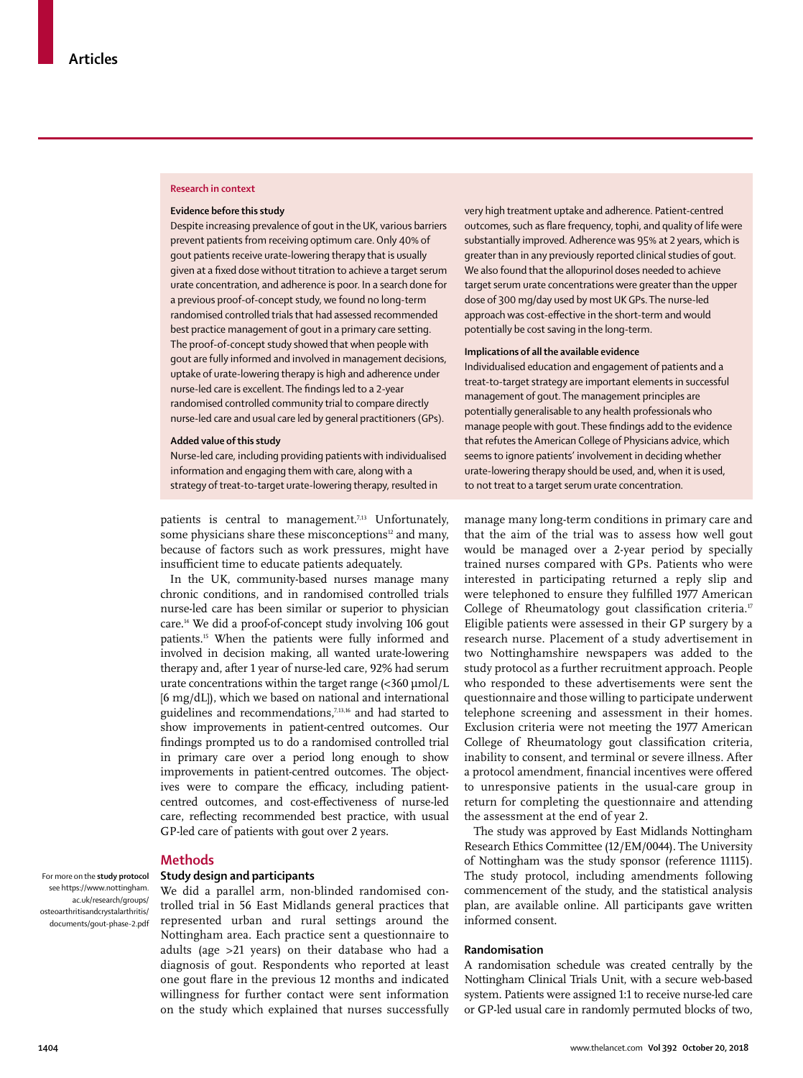#### **Research in context**

#### **Evidence before this study**

Despite increasing prevalence of gout in the UK, various barriers prevent patients from receiving optimum care. Only 40% of gout patients receive urate-lowering therapy that is usually given at a fixed dose without titration to achieve a target serum urate concentration, and adherence is poor. In a search done for a previous proof-of-concept study, we found no long-term randomised controlled trials that had assessed recommended best practice management of gout in a primary care setting. The proof-of-concept study showed that when people with gout are fully informed and involved in management decisions, uptake of urate-lowering therapy is high and adherence under nurse-led care is excellent. The findings led to a 2-year randomised controlled community trial to compare directly nurse-led care and usual care led by general practitioners (GPs).

#### **Added value of this study**

Nurse-led care, including providing patients with individualised information and engaging them with care, along with a strategy of treat-to-target urate-lowering therapy, resulted in

patients is central to management.<sup>7,13</sup> Unfortunately, some physicians share these misconceptions $\mathfrak{p}$  and many, because of factors such as work pressures, might have insufficient time to educate patients adequately.

In the UK, community-based nurses manage many chronic conditions, and in randomised controlled trials nurse-led care has been similar or superior to physician care.14 We did a proof-of-concept study involving 106 gout patients.15 When the patients were fully informed and involved in decision making, all wanted urate-lowering therapy and, after 1 year of nurse-led care, 92% had serum urate concentrations within the target range (<360 µmol/L [6 mg/dL]), which we based on national and international guidelines and recommendations,7,13,16 and had started to show improvements in patient-centred outcomes. Our findings prompted us to do a randomised controlled trial in primary care over a period long enough to show improvements in patient-centred outcomes. The objectives were to compare the efficacy, including patientcentred outcomes, and cost-effectiveness of nurse-led care, reflecting recommended best practice, with usual GP-led care of patients with gout over 2 years.

#### **Methods**

#### **Study design and participants** For more on the **study protocol**

We did a parallel arm, non-blinded randomised controlled trial in 56 East Midlands general practices that represented urban and rural settings around the Nottingham area. Each practice sent a questionnaire to adults (age >21 years) on their database who had a diagnosis of gout. Respondents who reported at least one gout flare in the previous 12 months and indicated willingness for further contact were sent information on the study which explained that nurses successfully very high treatment uptake and adherence. Patient-centred outcomes, such as flare frequency, tophi, and quality of life were substantially improved. Adherence was 95% at 2 years, which is greater than in any previously reported clinical studies of gout. We also found that the allopurinol doses needed to achieve target serum urate concentrations were greater than the upper dose of 300 mg/day used by most UK GPs. The nurse-led approach was cost-effective in the short-term and would potentially be cost saving in the long-term.

#### **Implications of all the available evidence**

Individualised education and engagement of patients and a treat-to-target strategy are important elements in successful management of gout. The management principles are potentially generalisable to any health professionals who manage people with gout. These findings add to the evidence that refutes the American College of Physicians advice, which seems to ignore patients' involvement in deciding whether urate-lowering therapy should be used, and, when it is used, to not treat to a target serum urate concentration.

manage many long-term conditions in primary care and that the aim of the trial was to assess how well gout would be managed over a 2-year period by specially trained nurses compared with GPs. Patients who were interested in participating returned a reply slip and were telephoned to ensure they fulfilled 1977 American College of Rheumatology gout classification criteria.<sup>17</sup> Eligible patients were assessed in their GP surgery by a research nurse. Placement of a study advertisement in two Nottinghamshire newspapers was added to the study protocol as a further recruitment approach. People who responded to these advertisements were sent the questionnaire and those willing to participate underwent telephone screening and assessment in their homes. Exclusion criteria were not meeting the 1977 American College of Rheumatology gout classification criteria, inability to consent, and terminal or severe illness. After a protocol amendment, financial incentives were offered to unresponsive patients in the usual-care group in return for completing the questionnaire and attending the assessment at the end of year 2.

The study was approved by East Midlands Nottingham Research Ethics Committee (12/EM/0044). The University of Nottingham was the study sponsor (reference 11115). The [study protocol,](https://www.nottingham.ac.uk/research/groups/osteoarthritisandcrystalarthritis/documents/gout-phase-2.pdf) including amendments following commencement of the study, and the statistical analysis plan, are available online. All participants gave written informed consent.

# **Randomisation**

A randomisation schedule was created centrally by the Nottingham Clinical Trials Unit, with a secure web-based system. Patients were assigned 1:1 to receive nurse-led care or GP-led usual care in randomly permuted blocks of two,

see https://www.nottingham. ac.uk/research/groups/ osteoarthritisandcrystalarthritis/ documents/gout-phase-2.pdf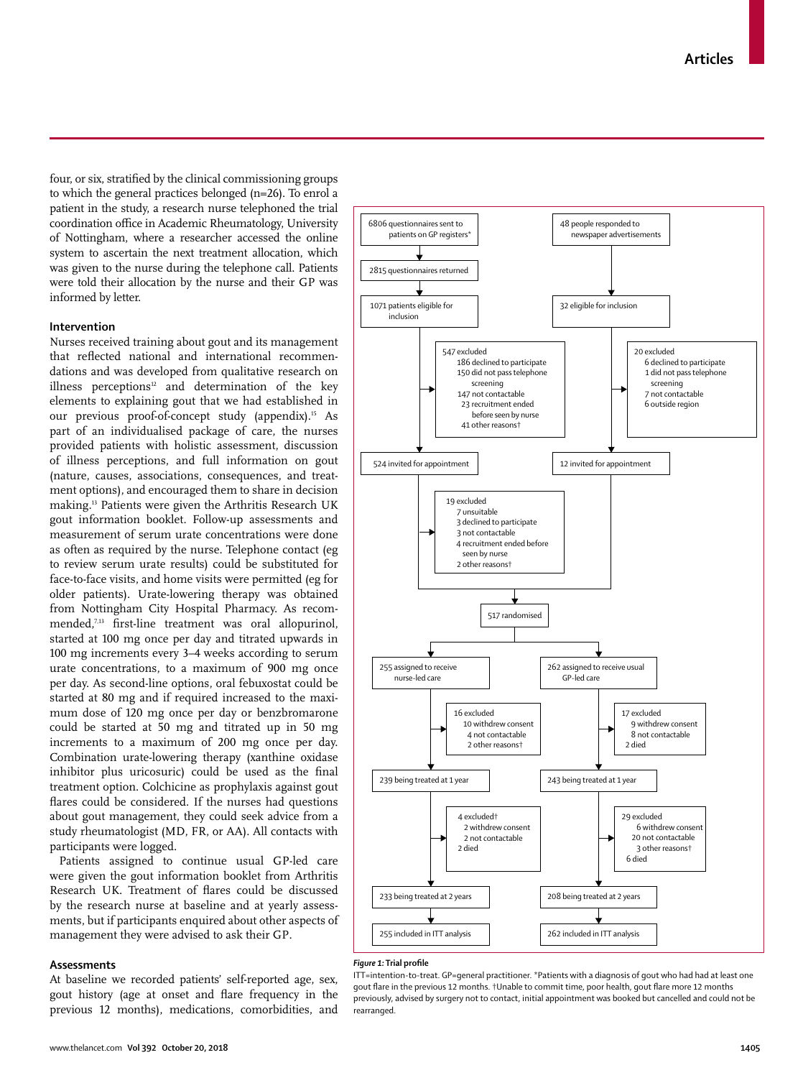four, or six, stratified by the clinical commissioning groups to which the general practices belonged (n=26). To enrol a patient in the study, a research nurse telephoned the trial coordination office in Academic Rheumatology, University of Nottingham, where a researcher accessed the online system to ascertain the next treatment allocation, which was given to the nurse during the telephone call. Patients were told their allocation by the nurse and their GP was informed by letter.

# **Intervention**

Nurses received training about gout and its management that reflected national and international recommendations and was developed from qualitative research on illness perceptions $12$  and determination of the key elements to explaining gout that we had established in our previous proof-of-concept study (appendix).<sup>15</sup> As part of an individualised package of care, the nurses provided patients with holistic assessment, discussion of illness perceptions, and full information on gout (nature, causes, associations, consequences, and treatment options), and encouraged them to share in decision making.13 Patients were given the Arthritis Research UK gout information booklet. Follow-up assessments and measurement of serum urate concentrations were done as often as required by the nurse. Telephone contact (eg to review serum urate results) could be substituted for face-to-face visits, and home visits were permitted (eg for older patients). Urate-lowering therapy was obtained from Nottingham City Hospital Pharmacy. As recommended,7,13 first-line treatment was oral allopurinol, started at 100 mg once per day and titrated upwards in 100 mg increments every 3–4 weeks according to serum urate concentrations, to a maximum of 900 mg once per day. As second-line options, oral febuxostat could be started at 80 mg and if required increased to the maximum dose of 120 mg once per day or benzbromarone could be started at 50 mg and titrated up in 50 mg increments to a maximum of 200 mg once per day. Combination urate-lowering therapy (xanthine oxidase inhibitor plus uricosuric) could be used as the final treatment option. Colchicine as prophylaxis against gout flares could be considered. If the nurses had questions about gout management, they could seek advice from a study rheumatologist (MD, FR, or AA). All contacts with participants were logged.

Patients assigned to continue usual GP-led care were given the gout information booklet from Arthritis Research UK. Treatment of flares could be discussed by the research nurse at baseline and at yearly assessments, but if participants enquired about other aspects of management they were advised to ask their GP.

### **Assessments**

At baseline we recorded patients' self-reported age, sex, gout history (age at onset and flare frequency in the previous 12 months), medications, comorbidities, and



# *Figure 1:* **Trial profile**

ITT=intention-to-treat. GP=general practitioner. \*Patients with a diagnosis of gout who had had at least one gout flare in the previous 12 months. †Unable to commit time, poor health, gout flare more 12 months previously, advised by surgery not to contact, initial appointment was booked but cancelled and could not be rearranged.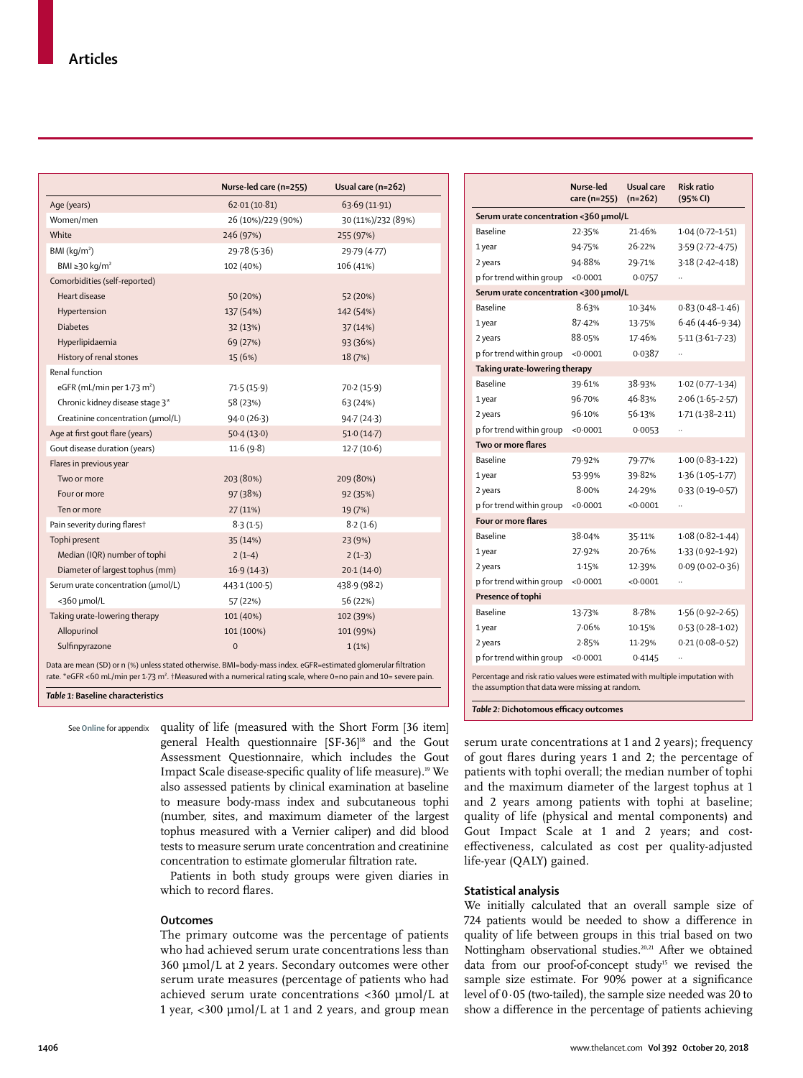|                                                                                                                                                                                                                                                  | Nurse-led care (n=255) | Usual care (n=262) |  |  |
|--------------------------------------------------------------------------------------------------------------------------------------------------------------------------------------------------------------------------------------------------|------------------------|--------------------|--|--|
| Age (years)                                                                                                                                                                                                                                      | 62.01(10.81)           | 63.69 (11.91)      |  |  |
| Women/men                                                                                                                                                                                                                                        | 26 (10%)/229 (90%)     | 30 (11%)/232 (89%) |  |  |
| White                                                                                                                                                                                                                                            | 246 (97%)              | 255 (97%)          |  |  |
| BM (kg/m <sup>2</sup> )                                                                                                                                                                                                                          | 29.78 (5.36)           | 29.79 (4.77)       |  |  |
| BMI $\geq$ 30 kg/m <sup>2</sup>                                                                                                                                                                                                                  | 102 (40%)              | 106 (41%)          |  |  |
| Comorbidities (self-reported)                                                                                                                                                                                                                    |                        |                    |  |  |
| Heart disease                                                                                                                                                                                                                                    | 50 (20%)               | 52 (20%)           |  |  |
| Hypertension                                                                                                                                                                                                                                     | 137 (54%)              | 142 (54%)          |  |  |
| <b>Diabetes</b>                                                                                                                                                                                                                                  | 32 (13%)               | 37 (14%)           |  |  |
| Hyperlipidaemia                                                                                                                                                                                                                                  | 69 (27%)               | 93 (36%)           |  |  |
| History of renal stones                                                                                                                                                                                                                          | 15 (6%)                | 18 (7%)            |  |  |
| Renal function                                                                                                                                                                                                                                   |                        |                    |  |  |
| eGFR (mL/min per 1.73 m <sup>2</sup> )                                                                                                                                                                                                           | 71.5(15.9)             | 70.2(15.9)         |  |  |
| Chronic kidney disease stage 3*                                                                                                                                                                                                                  | 58 (23%)               | 63 (24%)           |  |  |
| Creatinine concentration (µmol/L)                                                                                                                                                                                                                | 94.0(26.3)             | 94.7(24.3)         |  |  |
| Age at first gout flare (years)                                                                                                                                                                                                                  | 50.4(13.0)             | 51.0(14.7)         |  |  |
| Gout disease duration (years)                                                                                                                                                                                                                    | 11.6(9.8)              | 12.7(10.6)         |  |  |
| Flares in previous year                                                                                                                                                                                                                          |                        |                    |  |  |
| Two or more                                                                                                                                                                                                                                      | 203 (80%)              | 209 (80%)          |  |  |
| Four or more                                                                                                                                                                                                                                     | 97 (38%)               | 92 (35%)           |  |  |
| Ten or more                                                                                                                                                                                                                                      | 27(11%)                | 19 (7%)            |  |  |
| Pain severity during flarest                                                                                                                                                                                                                     | 8.3(1.5)               | 8.2(1.6)           |  |  |
| Tophi present                                                                                                                                                                                                                                    | 35 (14%)               | 23 (9%)            |  |  |
| Median (IQR) number of tophi                                                                                                                                                                                                                     | $2(1-4)$               | $2(1-3)$           |  |  |
| Diameter of largest tophus (mm)                                                                                                                                                                                                                  | 16.9(14.3)             | 20.1(14.0)         |  |  |
| Serum urate concentration (umol/L)                                                                                                                                                                                                               | 443.1 (100.5)          | 438.9 (98.2)       |  |  |
| <360 µmol/L                                                                                                                                                                                                                                      | 57 (22%)               | 56 (22%)           |  |  |
| Taking urate-lowering therapy                                                                                                                                                                                                                    | 101 (40%)              | 102 (39%)          |  |  |
| Allopurinol                                                                                                                                                                                                                                      | 101 (100%)             | 101 (99%)          |  |  |
| Sulfinpyrazone                                                                                                                                                                                                                                   | $\overline{0}$         | 1(1%)              |  |  |
| Data are mean (SD) or n (%) unless stated otherwise. BMI=body-mass index. eGFR=estimated glomerular filtration<br>rate. *eGFR <60 mL/min per 1.73 m <sup>2</sup> . †Measured with a numerical rating scale, where 0=no pain and 10= severe pain. |                        |                    |  |  |

*Table 1:* **Baseline characteristics**

See **Online** for appendix

quality of life (measured with the Short Form [36 item] general Health questionnaire [SF-36]<sup>18</sup> and the Gout Assessment Questionnaire, which includes the Gout Impact Scale disease-specific quality of life measure).<sup>19</sup> We also assessed patients by clinical examination at baseline to measure body-mass index and subcutaneous tophi (number, sites, and maximum diameter of the largest tophus measured with a Vernier caliper) and did blood tests to measure serum urate concentration and creatinine concentration to estimate glomerular filtration rate.

Patients in both study groups were given diaries in which to record flares.

# **Outcomes**

The primary outcome was the percentage of patients who had achieved serum urate concentrations less than 360 µmol/L at 2 years. Secondary outcomes were other serum urate measures (percentage of patients who had achieved serum urate concentrations <360 µmol/L at 1 year, <300 µmol/L at 1 and 2 years, and group mean

|                                                                               | Nurse-led<br>care (n=255) | Usual care<br>$(n=262)$ | <b>Risk ratio</b><br>(95% CI) |  |  |
|-------------------------------------------------------------------------------|---------------------------|-------------------------|-------------------------------|--|--|
| Serum urate concentration <360 µmol/L                                         |                           |                         |                               |  |  |
| Baseline                                                                      | 22.35%                    | 21.46%                  | $1.04(0.72 - 1.51)$           |  |  |
| 1 year                                                                        | 94.75%                    | 26.22%                  | $3.59(2.72 - 4.75)$           |  |  |
| 2 years                                                                       | 94.88%                    | 29.71%                  | $3.18(2.42 - 4.18)$           |  |  |
| p for trend within group                                                      | < 0.0001                  | 0.0757                  |                               |  |  |
| Serum urate concentration <300 µmol/L                                         |                           |                         |                               |  |  |
| Baseline                                                                      | 8.63%                     | 10.34%                  | $0.83(0.48 - 1.46)$           |  |  |
| 1 year                                                                        | 87.42%                    | 13.75%                  | $6.46(4.46-9.34)$             |  |  |
| 2 years                                                                       | 88.05%                    | 17.46%                  | $5.11(3.61 - 7.23)$           |  |  |
| p for trend within group                                                      | < 0.0001                  | 0.0387                  |                               |  |  |
| Taking urate-lowering therapy                                                 |                           |                         |                               |  |  |
| Baseline                                                                      | 39.61%                    | 38.93%                  | $1.02(0.77 - 1.34)$           |  |  |
| 1 year                                                                        | 96.70%                    | 46.83%                  | $2.06(1.65 - 2.57)$           |  |  |
| 2 years                                                                       | 96.10%                    | 56.13%                  | $1.71(1.38 - 2.11)$           |  |  |
| p for trend within group                                                      | < 0.0001                  | 0.0053                  |                               |  |  |
| Two or more flares                                                            |                           |                         |                               |  |  |
| Baseline                                                                      | 79.92%                    | 79.77%                  | $1.00(0.83 - 1.22)$           |  |  |
| 1 year                                                                        | 53.99%                    | 39.82%                  | $1.36(1.05-1.77)$             |  |  |
| 2 years                                                                       | 8.00%                     | 24.29%                  | $0.33(0.19 - 0.57)$           |  |  |
| p for trend within group                                                      | < 0.0001                  | < 0.0001                |                               |  |  |
| <b>Four or more flares</b>                                                    |                           |                         |                               |  |  |
| Baseline                                                                      | 38.04%                    | 35.11%                  | $1.08(0.82 - 1.44)$           |  |  |
| 1 year                                                                        | 27.92%                    | 20.76%                  | $1.33(0.92 - 1.92)$           |  |  |
| 2 years                                                                       | 1.15%                     | 12.39%                  | $0.09(0.02 - 0.36)$           |  |  |
| p for trend within group                                                      | < 0.0001                  | < 0.0001                | ÷.                            |  |  |
| Presence of tophi                                                             |                           |                         |                               |  |  |
| <b>Baseline</b>                                                               | 13.73%                    | 8.78%                   | $1.56(0.92 - 2.65)$           |  |  |
| 1 year                                                                        | 7.06%                     | 10.15%                  | $0.53(0.28 - 1.02)$           |  |  |
| 2 years                                                                       | 2.85%                     | 11.29%                  | $0.21(0.08 - 0.52)$           |  |  |
| p for trend within group                                                      | < 0.0001                  | 0.4145                  |                               |  |  |
| Percentage and risk ratio values were estimated with multiple imputation with |                           |                         |                               |  |  |

the assumption that data were missing at random.

*Table 2:* **Dichotomous efficacy outcomes**

serum urate concentrations at 1 and 2 years); frequency of gout flares during years 1 and 2; the percentage of patients with tophi overall; the median number of tophi and the maximum diameter of the largest tophus at 1 and 2 years among patients with tophi at baseline; quality of life (physical and mental components) and Gout Impact Scale at 1 and 2 years; and costeffectiveness, calculated as cost per quality-adjusted life-year (QALY) gained.

### **Statistical analysis**

We initially calculated that an overall sample size of 724 patients would be needed to show a difference in quality of life between groups in this trial based on two Nottingham observational studies.20,21 After we obtained data from our proof-of-concept study<sup>15</sup> we revised the sample size estimate. For 90% power at a significance level of 0·05 (two-tailed), the sample size needed was 20 to show a difference in the percentage of patients achieving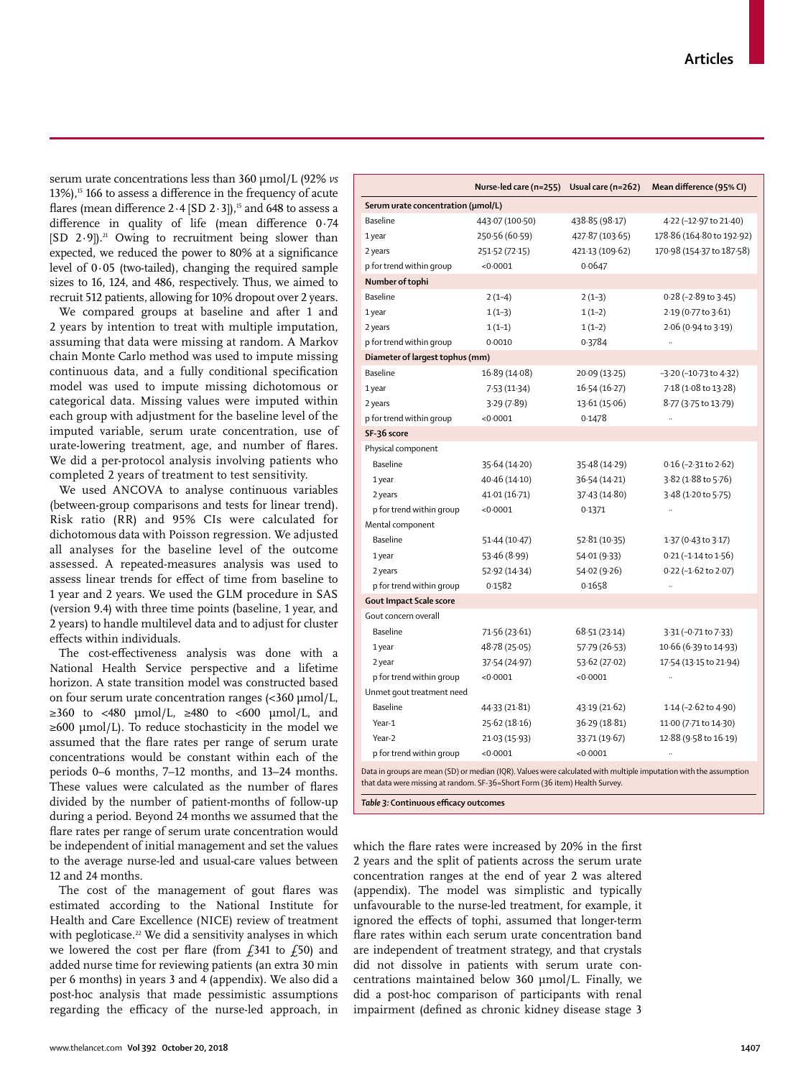www.thelancet.com**Vol 392 October 20, 2018 1407**

serum urate concentrations less than 360 μmol/L (92% *vs* 13%),<sup>15</sup> 166 to assess a difference in the frequency of acute flares (mean difference 2⋅4 [SD 2⋅3]),<sup>15</sup> and 648 to assess a difference in quality of life (mean difference 0∙74 [SD 2⋅9]).<sup>21</sup> Owing to recruitment being slower than expected, we reduced the power to 80% at a significance level of 0·05 (two-tailed), changing the required sample sizes to 16, 124, and 486, respectively. Thus, we aimed to recruit 512 patients, allowing for 10% dropout over 2 years.

We compared groups at baseline and after 1 and 2 years by intention to treat with multiple imputation, assuming that data were missing at random. A Markov chain Monte Carlo method was used to impute missing continuous data, and a fully conditional specification model was used to impute missing dichotomous or categorical data. Missing values were imputed within each group with adjustment for the baseline level of the imputed variable, serum urate concentration, use of urate-lowering treatment, age, and number of flares. We did a per-protocol analysis involving patients who completed 2 years of treatment to test sensitivity.

We used ANCOVA to analyse continuous variables (between-group comparisons and tests for linear trend). Risk ratio (RR) and 95% CIs were calculated for dichotomous data with Poisson regression. We adjusted all analyses for the baseline level of the outcome assessed. A repeated-measures analysis was used to assess linear trends for effect of time from baseline to 1 year and 2 years. We used the GLM procedure in SAS (version 9.4) with three time points (baseline, 1 year, and 2 years) to handle multilevel data and to adjust for cluster effects within individuals.

The cost-effectiveness analysis was done with a National Health Service perspective and a lifetime horizon. A state transition model was constructed based on four serum urate concentration ranges (<360 µmol/L,  $\geq$ 360 to <480 µmol/L,  $\geq$ 480 to <600 µmol/L, and ≥600 µmol/L). To reduce stochasticity in the model we assumed that the flare rates per range of serum urate concentrations would be constant within each of the periods 0–6 months, 7–12 months, and 13–24 months. These values were calculated as the number of flares divided by the number of patient-months of follow-up during a period. Beyond 24 months we assumed that the flare rates per range of serum urate concentration would be independent of initial management and set the values to the average nurse-led and usual-care values between 12 and 24 months.

The cost of the management of gout flares was estimated according to the National Institute for Health and Care Excellence (NICE) review of treatment with pegloticase.<sup>22</sup> We did a sensitivity analyses in which we lowered the cost per flare (from  $f$  341 to  $f$  50) and added nurse time for reviewing patients (an extra 30 min per 6 months) in years 3 and 4 (appendix). We also did a post-hoc analysis that made pessimistic assumptions regarding the efficacy of the nurse-led approach, in

|                                                                                                                                                                                                  | Nurse-led care (n=255) Usual care (n=262) |                 | Mean difference (95% CI)       |  |  |  |
|--------------------------------------------------------------------------------------------------------------------------------------------------------------------------------------------------|-------------------------------------------|-----------------|--------------------------------|--|--|--|
| Serum urate concentration (umol/L)                                                                                                                                                               |                                           |                 |                                |  |  |  |
| <b>Baseline</b>                                                                                                                                                                                  | 443.07 (100.50)                           | 438.85 (98.17)  | 4.22 (-12.97 to 21.40)         |  |  |  |
| 1 year                                                                                                                                                                                           | 250.56 (60.59)                            | 427.87 (103.65) | 178.86 (164.80 to 192.92)      |  |  |  |
| 2 years                                                                                                                                                                                          | 251.52 (72.15)                            | 421.13 (109.62) | 170.98 (154.37 to 187.58)      |  |  |  |
| p for trend within group                                                                                                                                                                         | < 0.0001                                  | 0.0647          |                                |  |  |  |
| Number of tophi                                                                                                                                                                                  |                                           |                 |                                |  |  |  |
| Baseline                                                                                                                                                                                         | $2(1-4)$                                  | $2(1-3)$        | $0.28$ (-2.89 to 3.45)         |  |  |  |
| 1 year                                                                                                                                                                                           | $1(1-3)$                                  | $1(1-2)$        | 2.19 (0.77 to 3.61)            |  |  |  |
| 2 years                                                                                                                                                                                          | $1(1-1)$                                  | $1(1-2)$        | 2.06 (0.94 to 3.19)            |  |  |  |
| p for trend within group                                                                                                                                                                         | 0.0010                                    | 0.3784          |                                |  |  |  |
| Diameter of largest tophus (mm)                                                                                                                                                                  |                                           |                 |                                |  |  |  |
| <b>Baseline</b>                                                                                                                                                                                  | 16.89 (14.08)                             | 20.09 (13.25)   | $-3.20$ ( $-10.73$ to $4.32$ ) |  |  |  |
| 1 year                                                                                                                                                                                           | 7.53(11.34)                               | 16.54(16.27)    | 7.18 (1.08 to 13.28)           |  |  |  |
| 2 years                                                                                                                                                                                          | 3.29(7.89)                                | 13.61(15.06)    | 8.77 (3.75 to 13.79)           |  |  |  |
| p for trend within group                                                                                                                                                                         | < 0.0001                                  | 0.1478          |                                |  |  |  |
| SF-36 score                                                                                                                                                                                      |                                           |                 |                                |  |  |  |
| Physical component                                                                                                                                                                               |                                           |                 |                                |  |  |  |
| <b>Baseline</b>                                                                                                                                                                                  | 35.64 (14.20)                             | 35.48(14.29)    | $0.16$ (-2.31 to 2.62)         |  |  |  |
| 1 year                                                                                                                                                                                           | 40.46 (14.10)                             | 36.54 (14.21)   | 3.82 (1.88 to 5.76)            |  |  |  |
| 2 years                                                                                                                                                                                          | 41.01(16.71)                              | 37.43(14.80)    | 3.48 (1.20 to 5.75)            |  |  |  |
| p for trend within group                                                                                                                                                                         | < 0.0001                                  | 0.1371          |                                |  |  |  |
| Mental component                                                                                                                                                                                 |                                           |                 |                                |  |  |  |
| Baseline                                                                                                                                                                                         | 51.44(10.47)                              | 52.81(10.35)    | 1.37 (0.43 to 3.17)            |  |  |  |
| 1 year                                                                                                                                                                                           | 53.46 (8.99)                              | 54.01 (9.33)    | $0.21$ (-1.14 to 1.56)         |  |  |  |
| 2 years                                                                                                                                                                                          | 52.92 (14.34)                             | 54.02 (9.26)    | $0.22$ (-1.62 to 2.07)         |  |  |  |
| p for trend within group                                                                                                                                                                         | 0.1582                                    | 0.1658          |                                |  |  |  |
| Gout Impact Scale score                                                                                                                                                                          |                                           |                 |                                |  |  |  |
| Gout concern overall                                                                                                                                                                             |                                           |                 |                                |  |  |  |
| <b>Baseline</b>                                                                                                                                                                                  | 71.56 (23.61)                             | 68.51 (23.14)   | 3.31 (-0.71 to 7.33)           |  |  |  |
| 1 year                                                                                                                                                                                           | 48.78 (25.05)                             | 57.79 (26.53)   | 10.66 (6.39 to 14.93)          |  |  |  |
| 2 year                                                                                                                                                                                           | 37.54 (24.97)                             | 53.62(27.02)    | 17.54 (13.15 to 21.94)         |  |  |  |
| p for trend within group                                                                                                                                                                         | < 0.0001                                  | < 0.0001        |                                |  |  |  |
| Unmet gout treatment need                                                                                                                                                                        |                                           |                 |                                |  |  |  |
| <b>Baseline</b>                                                                                                                                                                                  | 44.33 (21.81)                             | 43.19 (21.62)   | 1.14 (-2.62 to 4.90)           |  |  |  |
| Year-1                                                                                                                                                                                           | 25.62(18.16)                              | 36.29 (18.81)   | 11.00 (7.71 to 14.30)          |  |  |  |
| Year-2                                                                                                                                                                                           | 21.03(15.93)                              | 33.71 (19.67)   | 12.88 (9.58 to 16.19)          |  |  |  |
| p for trend within group                                                                                                                                                                         | < 0.0001                                  | < 0.0001        |                                |  |  |  |
| Data in groups are mean (SD) or median (IQR). Values were calculated with multiple imputation with the assumption<br>that data were missing at random. SF-36=Short Form (36 item) Health Survey. |                                           |                 |                                |  |  |  |

*Table 3:* **Continuous efficacy outcomes** 

which the flare rates were increased by 20% in the first 2 years and the split of patients across the serum urate concentration ranges at the end of year 2 was altered (appendix). The model was simplistic and typically unfavourable to the nurse-led treatment, for example, it ignored the effects of tophi, assumed that longer-term flare rates within each serum urate concentration band are independent of treatment strategy, and that crystals did not dissolve in patients with serum urate concentrations maintained below 360 µmol/L. Finally, we did a post-hoc comparison of participants with renal impairment (defined as chronic kidney disease stage 3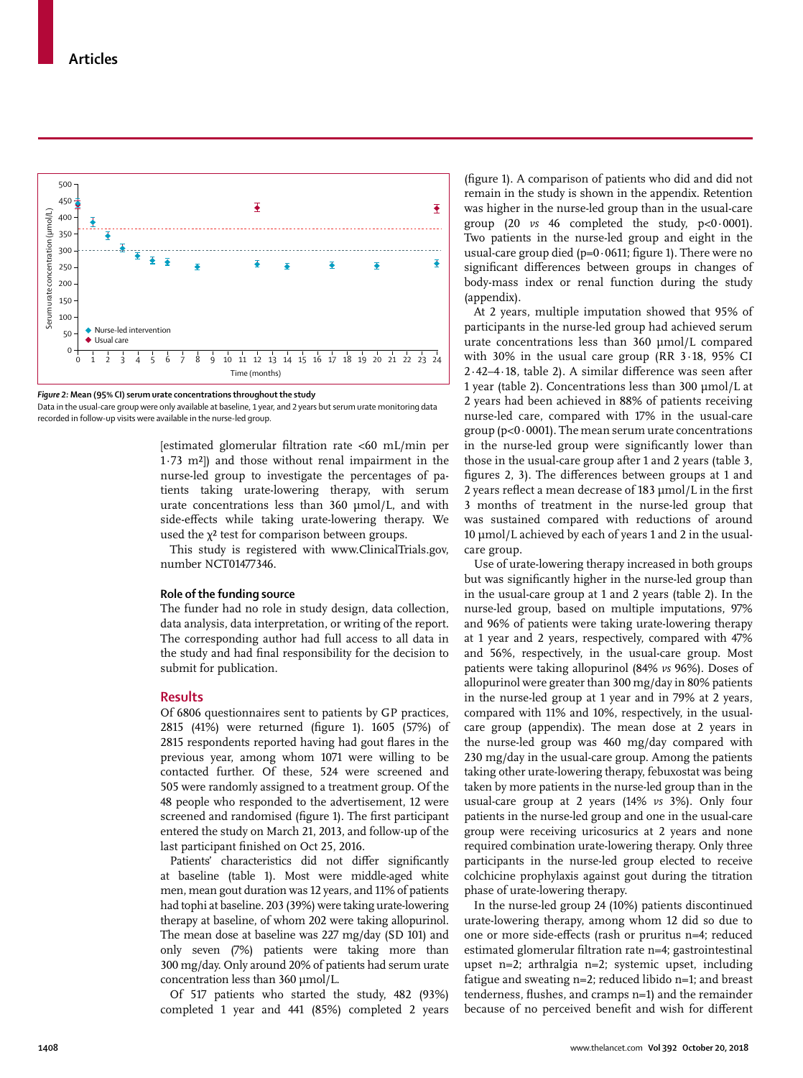

*Figure 2:* **Mean (95% CI) serum urate concentrations throughout the study**

Data in the usual-care group were only available at baseline, 1 year, and 2 years but serum urate monitoring data recorded in follow-up visits were available in the nurse-led group.

> [estimated glomerular filtration rate <60 mL/min per 1⋅73 m²]) and those without renal impairment in the nurse-led group to investigate the percentages of patients taking urate-lowering therapy, with serum urate concentrations less than 360 µmol/L, and with side-effects while taking urate-lowering therapy. We used the  $\chi^2$  test for comparison between groups.

> This study is registered with www.ClinicalTrials.gov, number NCT01477346.

# **Role of the funding source**

The funder had no role in study design, data collection, data analysis, data interpretation, or writing of the report. The corresponding author had full access to all data in the study and had final responsibility for the decision to submit for publication.

# **Results**

Of 6806 questionnaires sent to patients by GP practices, 2815 (41%) were returned (figure 1). 1605 (57%) of 2815 respondents reported having had gout flares in the previous year, among whom 1071 were willing to be contacted further. Of these, 524 were screened and 505 were randomly assigned to a treatment group. Of the 48 people who responded to the advertisement, 12 were screened and randomised (figure 1). The first participant entered the study on March 21, 2013, and follow-up of the last participant finished on Oct 25, 2016.

Patients' characteristics did not differ significantly at baseline (table 1). Most were middle-aged white men, mean gout duration was 12 years, and 11% of patients had tophi at baseline. 203 (39%) were taking urate-lowering therapy at baseline, of whom 202 were taking allopurinol. The mean dose at baseline was 227 mg/day (SD 101) and only seven (7%) patients were taking more than 300 mg/day. Only around 20% of patients had serum urate concentration less than 360 μmol/L.

Of 517 patients who started the study, 482 (93%) completed 1 year and 441 (85%) completed 2 years

(figure 1). A comparison of patients who did and did not remain in the study is shown in the appendix. Retention was higher in the nurse-led group than in the usual-care group (20 *vs* 46 completed the study, p<0∙0001). Two patients in the nurse-led group and eight in the usual-care group died (p=0∙0611; figure 1). There were no significant differences between groups in changes of body-mass index or renal function during the study (appendix).

At 2 years, multiple imputation showed that 95% of participants in the nurse-led group had achieved serum urate concentrations less than 360 μmol/L compared with 30% in the usual care group (RR 3∙18, 95% CI 2∙42–4∙18, table 2). A similar difference was seen after 1 year (table 2). Concentrations less than 300 μmol/L at 2 years had been achieved in 88% of patients receiving nurse-led care, compared with 17% in the usual-care group (p<0∙0001). The mean serum urate concentrations in the nurse-led group were significantly lower than those in the usual-care group after 1 and 2 years (table 3, figures 2, 3). The differences between groups at 1 and 2 years reflect a mean decrease of 183 μmol/L in the first 3 months of treatment in the nurse-led group that was sustained compared with reductions of around 10 μmol/L achieved by each of years 1 and 2 in the usualcare group.

Use of urate-lowering therapy increased in both groups but was significantly higher in the nurse-led group than in the usual-care group at 1 and 2 years (table 2). In the nurse-led group, based on multiple imputations, 97% and 96% of patients were taking urate-lowering therapy at 1 year and 2 years, respectively, compared with 47% and 56%, respectively, in the usual-care group. Most patients were taking allopurinol (84% *vs* 96%). Doses of allopurinol were greater than 300 mg/day in 80% patients in the nurse-led group at 1 year and in 79% at 2 years, compared with 11% and 10%, respectively, in the usualcare group (appendix). The mean dose at 2 years in the nurse-led group was 460 mg/day compared with 230 mg/day in the usual-care group. Among the patients taking other urate-lowering therapy, febuxostat was being taken by more patients in the nurse-led group than in the usual-care group at 2 years (14% *vs* 3%). Only four patients in the nurse-led group and one in the usual-care group were receiving uricosurics at 2 years and none required combination urate-lowering therapy. Only three participants in the nurse-led group elected to receive colchicine prophylaxis against gout during the titration phase of urate-lowering therapy.

In the nurse-led group 24 (10%) patients discontinued urate-lowering therapy, among whom 12 did so due to one or more side-effects (rash or pruritus n=4; reduced estimated glomerular filtration rate n=4; gastrointestinal upset n=2; arthralgia n=2; systemic upset, including fatigue and sweating n=2; reduced libido n=1; and breast tenderness, flushes, and cramps n=1) and the remainder because of no perceived benefit and wish for different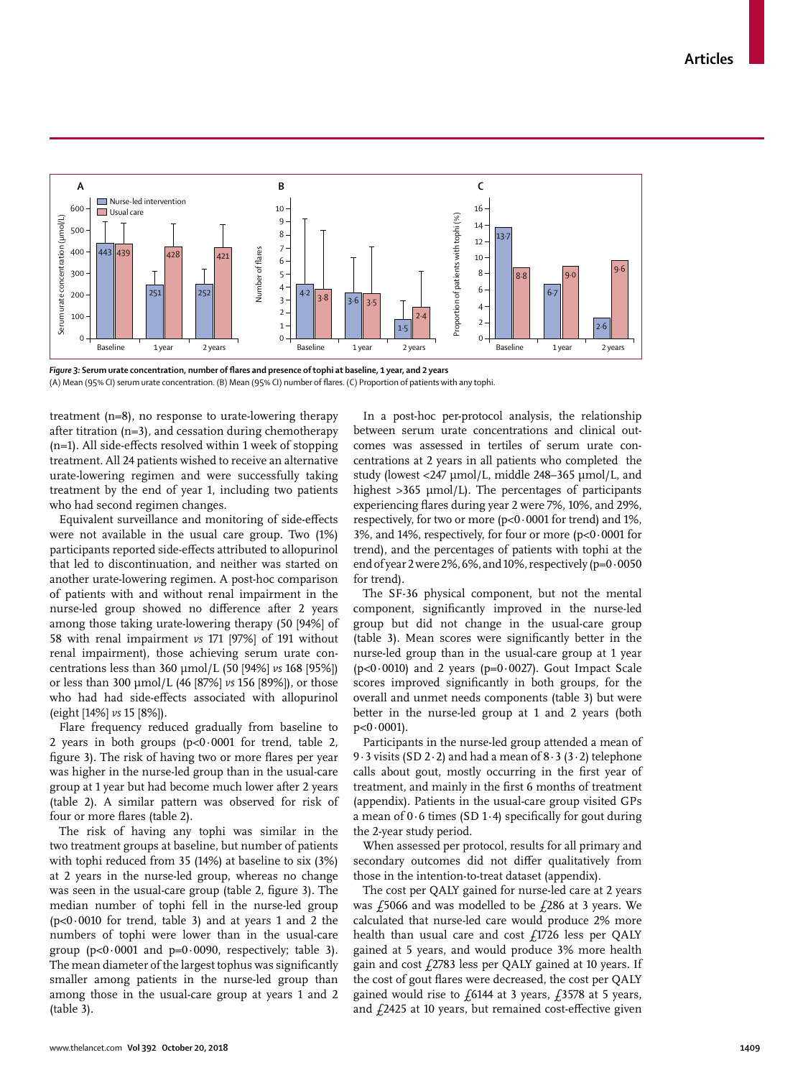

*Figure 3:* **Serum urate concentration, number of flares and presence of tophi at baseline, 1 year, and 2 years** (A) Mean (95% CI) serum urate concentration. (B) Mean (95% CI) number of flares. (C) Proportion of patients with any tophi.

treatment (n=8), no response to urate-lowering therapy after titration (n=3), and cessation during chemotherapy (n=1). All side-effects resolved within 1 week of stopping treatment. All 24 patients wished to receive an alternative urate-lowering regimen and were successfully taking treatment by the end of year 1, including two patients who had second regimen changes.

Equivalent surveillance and monitoring of side-effects were not available in the usual care group. Two (1%) participants reported side-effects attributed to allopurinol that led to discontinuation, and neither was started on another urate-lowering regimen. A post-hoc comparison of patients with and without renal impairment in the nurse-led group showed no difference after 2 years among those taking urate-lowering therapy (50 [94%] of 58 with renal impairment *vs* 171 [97%] of 191 without renal impairment), those achieving serum urate concentrations less than 360 μmol/L (50 [94%] *vs* 168 [95%]) or less than 300 μmol/L (46 [87%] *vs* 156 [89%]), or those who had had side-effects associated with allopurinol (eight [14%] *vs* 15 [8%]).

Flare frequency reduced gradually from baseline to 2 years in both groups (p<0∙0001 for trend, table 2, figure 3). The risk of having two or more flares per year was higher in the nurse-led group than in the usual-care group at 1 year but had become much lower after 2 years (table 2). A similar pattern was observed for risk of four or more flares (table 2).

The risk of having any tophi was similar in the two treatment groups at baseline, but number of patients with tophi reduced from 35 (14%) at baseline to six (3%) at 2 years in the nurse-led group, whereas no change was seen in the usual-care group (table 2, figure 3). The median number of tophi fell in the nurse-led group (p<0∙0010 for trend, table 3) and at years 1 and 2 the numbers of tophi were lower than in the usual-care group (p<0⋅0001 and p=0⋅0090, respectively; table 3). The mean diameter of the largest tophus was significantly smaller among patients in the nurse-led group than among those in the usual-care group at years 1 and 2 (table 3).

In a post-hoc per-protocol analysis, the relationship between serum urate concentrations and clinical outcomes was assessed in tertiles of serum urate concentrations at 2 years in all patients who completed the study (lowest <247 μmol/L, middle 248–365 μmol/L, and highest >365 μmol/L). The percentages of participants experiencing flares during year 2 were 7%, 10%, and 29%, respectively, for two or more (p<0∙0001 for trend) and 1%, 3%, and 14%, respectively, for four or more (p<0∙0001 for trend), and the percentages of patients with tophi at the end of year 2 were 2%, 6%, and 10%, respectively (p=0∙0050 for trend).

The SF-36 physical component, but not the mental component, significantly improved in the nurse-led group but did not change in the usual-care group (table 3). Mean scores were significantly better in the nurse-led group than in the usual-care group at 1 year (p<0∙0010) and 2 years (p=0∙0027). Gout Impact Scale scores improved significantly in both groups, for the overall and unmet needs components (table 3) but were better in the nurse-led group at 1 and 2 years (both  $p < 0.0001$ ).

Participants in the nurse-led group attended a mean of 9∙3 visits (SD 2∙2) and had a mean of 8∙3 (3∙2) telephone calls about gout, mostly occurring in the first year of treatment, and mainly in the first 6 months of treatment (appendix). Patients in the usual-care group visited GPs a mean of  $0.6$  times (SD 1.4) specifically for gout during the 2-year study period.

When assessed per protocol, results for all primary and secondary outcomes did not differ qualitatively from those in the intention-to-treat dataset (appendix).

The cost per QALY gained for nurse-led care at 2 years was £5066 and was modelled to be £286 at 3 years. We calculated that nurse-led care would produce 2% more health than usual care and cost  $f1726$  less per QALY gained at 5 years, and would produce 3% more health gain and cost  $f$ 2783 less per QALY gained at 10 years. If the cost of gout flares were decreased, the cost per QALY gained would rise to  $f$ 6144 at 3 years,  $f$ 3578 at 5 years, and  $\frac{1}{2425}$  at 10 years, but remained cost-effective given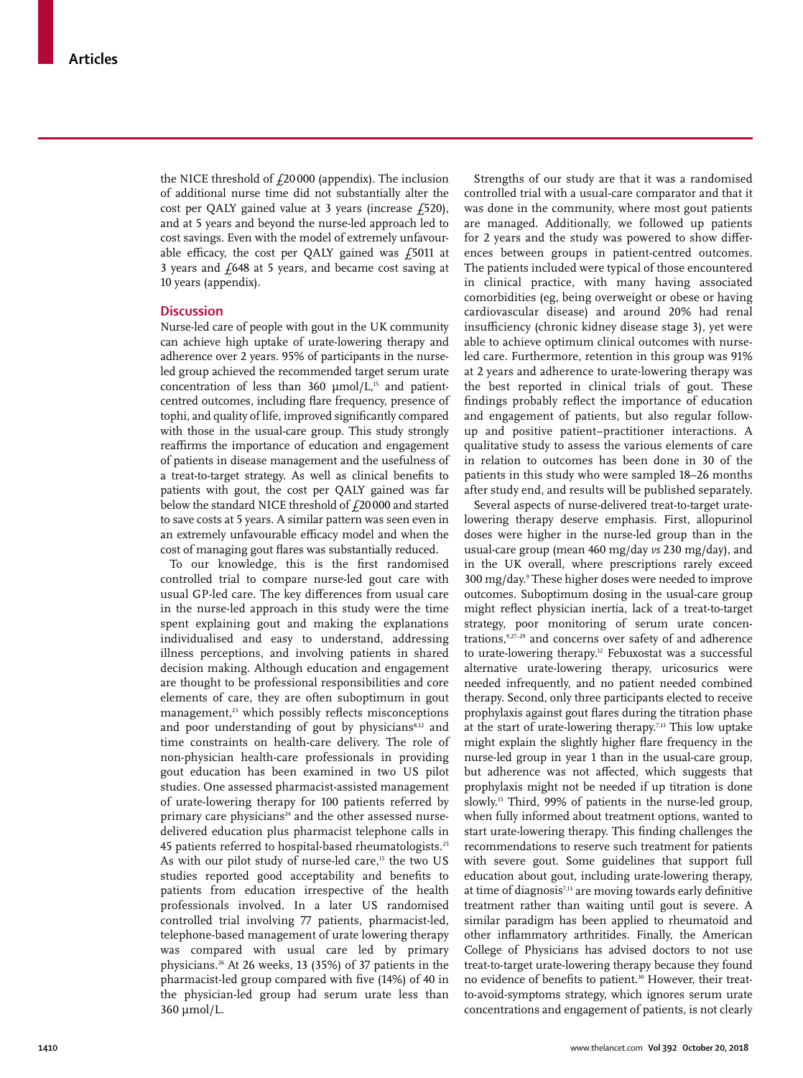the NICE threshold of  $f20000$  (appendix). The inclusion of additional nurse time did not substantially alter the cost per QALY gained value at 3 years (increase  $\text{\emph{f520}}$ ), and at 5 years and beyond the nurse-led approach led to cost savings. Even with the model of extremely unfavourable efficacy, the cost per QALY gained was  $f$ 5011 at 3 years and  $f$ 648 at 5 years, and became cost saving at 10 years (appendix).

# **Discussion**

Nurse-led care of people with gout in the UK community can achieve high uptake of urate-lowering therapy and adherence over 2 years. 95% of participants in the nurseled group achieved the recommended target serum urate concentration of less than  $360 \text{ } \mu \text{mol/L}^{15}$  and patientcentred outcomes, including flare frequency, presence of tophi, and quality of life, improved significantly compared with those in the usual-care group. This study strongly reaffirms the importance of education and engagement of patients in disease management and the usefulness of a treat-to-target strategy. As well as clinical benefits to patients with gout, the cost per QALY gained was far below the standard NICE threshold of £20000 and started to save costs at 5 years. A similar pattern was seen even in an extremely unfavourable efficacy model and when the cost of managing gout flares was substantially reduced.

To our knowledge, this is the first randomised controlled trial to compare nurse-led gout care with usual GP-led care. The key differences from usual care in the nurse-led approach in this study were the time spent explaining gout and making the explanations individualised and easy to understand, addressing illness perceptions, and involving patients in shared decision making. Although education and engagement are thought to be professional responsibilities and core elements of care, they are often suboptimum in gout management,<sup>23</sup> which possibly reflects misconceptions and poor understanding of gout by physicians<sup>8,12</sup> and time constraints on health-care delivery. The role of non-physician health-care professionals in providing gout education has been examined in two US pilot studies. One assessed pharmacist-assisted management of urate-lowering therapy for 100 patients referred by primary care physicians $24$  and the other assessed nursedelivered education plus pharmacist telephone calls in 45 patients referred to hospital-based rheumatologists.<sup>25</sup> As with our pilot study of nurse-led care,<sup>15</sup> the two US studies reported good acceptability and benefits to patients from education irrespective of the health professionals involved. In a later US randomised controlled trial involving 77 patients, pharmacist-led, telephone-based management of urate lowering therapy was compared with usual care led by primary physicians.26 At 26 weeks, 13 (35%) of 37 patients in the pharmacist-led group compared with five (14%) of 40 in the physician-led group had serum urate less than 360 µmol/L.

Strengths of our study are that it was a randomised controlled trial with a usual-care comparator and that it was done in the community, where most gout patients are managed. Additionally, we followed up patients for 2 years and the study was powered to show differences between groups in patient-centred outcomes. The patients included were typical of those encountered in clinical practice, with many having associated comorbidities (eg, being overweight or obese or having cardiovascular disease) and around 20% had renal insufficiency (chronic kidney disease stage 3), yet were able to achieve optimum clinical outcomes with nurseled care. Furthermore, retention in this group was 91% at 2 years and adherence to urate-lowering therapy was the best reported in clinical trials of gout. These findings probably reflect the importance of education and engagement of patients, but also regular followup and positive patient−practitioner interactions. A qualitative study to assess the various elements of care in relation to outcomes has been done in 30 of the patients in this study who were sampled 18–26 months after study end, and results will be published separately.

Several aspects of nurse-delivered treat-to-target uratelowering therapy deserve emphasis. First, allopurinol doses were higher in the nurse-led group than in the usual-care group (mean 460 mg/day *vs* 230 mg/day), and in the UK overall, where prescriptions rarely exceed 300 mg/day.9 These higher doses were needed to improve outcomes. Suboptimum dosing in the usual-care group might reflect physician inertia, lack of a treat-to-target strategy, poor monitoring of serum urate concentrations,9,27–29 and concerns over safety of and adherence to urate-lowering therapy.<sup>12</sup> Febuxostat was a successful alternative urate-lowering therapy, uricosurics were needed infrequently, and no patient needed combined therapy. Second, only three participants elected to receive prophylaxis against gout flares during the titration phase at the start of urate-lowering therapy.<sup>7,13</sup> This low uptake might explain the slightly higher flare frequency in the nurse-led group in year 1 than in the usual-care group, but adherence was not affected, which suggests that prophylaxis might not be needed if up titration is done slowly.15 Third, 99% of patients in the nurse-led group, when fully informed about treatment options, wanted to start urate-lowering therapy. This finding challenges the recommendations to reserve such treatment for patients with severe gout. Some guidelines that support full education about gout, including urate-lowering therapy, at time of diagnosis<sup>7,13</sup> are moving towards early definitive treatment rather than waiting until gout is severe. A similar paradigm has been applied to rheumatoid and other inflammatory arthritides. Finally, the American College of Physicians has advised doctors to not use treat-to-target urate-lowering therapy because they found no evidence of benefits to patient.<sup>30</sup> However, their treatto-avoid-symptoms strategy, which ignores serum urate concentrations and engagement of patients, is not clearly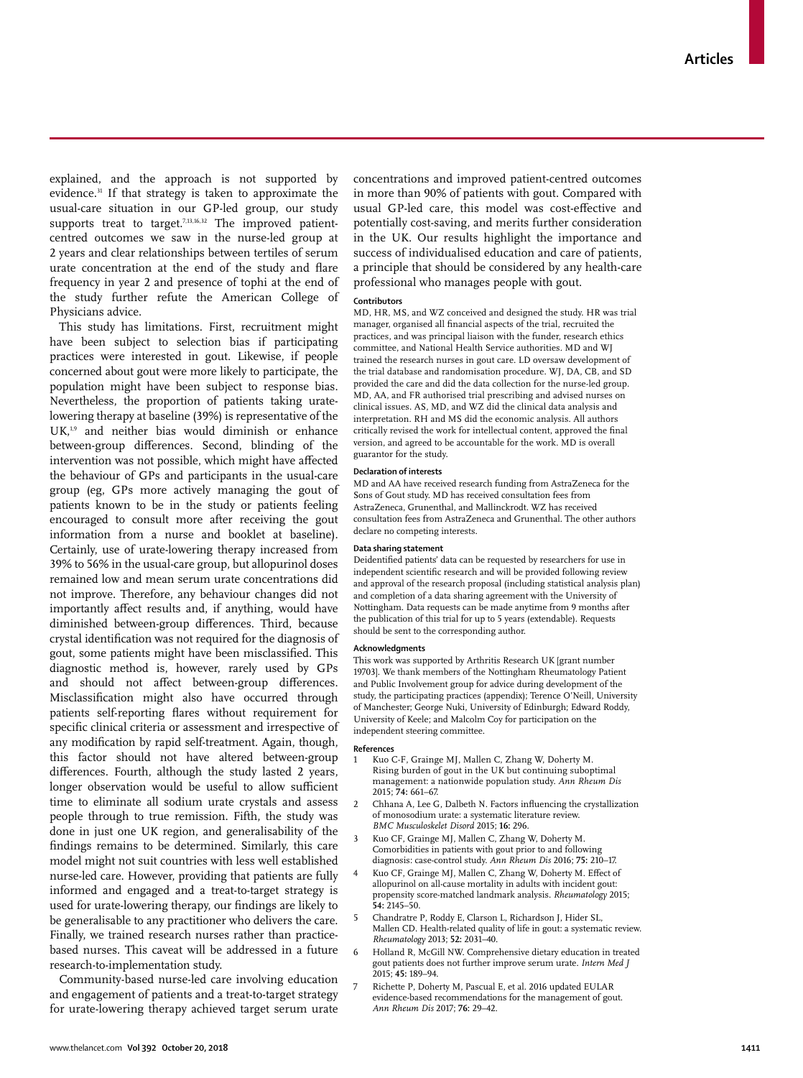explained, and the approach is not supported by evidence.31 If that strategy is taken to approximate the usual-care situation in our GP-led group, our study supports treat to target.<sup>7,13,16,32</sup> The improved patientcentred outcomes we saw in the nurse-led group at 2 years and clear relationships between tertiles of serum urate concentration at the end of the study and flare frequency in year 2 and presence of tophi at the end of the study further refute the American College of Physicians advice.

This study has limitations. First, recruitment might have been subject to selection bias if participating practices were interested in gout. Likewise, if people concerned about gout were more likely to participate, the population might have been subject to response bias. Nevertheless, the proportion of patients taking uratelowering therapy at baseline (39%) is representative of the  $UK<sub>1,9</sub>$  and neither bias would diminish or enhance between-group differences. Second, blinding of the intervention was not possible, which might have affected the behaviour of GPs and participants in the usual-care group (eg, GPs more actively managing the gout of patients known to be in the study or patients feeling encouraged to consult more after receiving the gout information from a nurse and booklet at baseline). Certainly, use of urate-lowering therapy increased from 39% to 56% in the usual-care group, but allopurinol doses remained low and mean serum urate concentrations did not improve. Therefore, any behaviour changes did not importantly affect results and, if anything, would have diminished between-group differences. Third, because crystal identification was not required for the diagnosis of gout, some patients might have been misclassified. This diagnostic method is, however, rarely used by GPs and should not affect between-group differences. Misclassification might also have occurred through patients self-reporting flares without requirement for specific clinical criteria or assessment and irrespective of any modification by rapid self-treatment. Again, though, this factor should not have altered between-group differences. Fourth, although the study lasted 2 years, longer observation would be useful to allow sufficient time to eliminate all sodium urate crystals and assess people through to true remission. Fifth, the study was done in just one UK region, and generalisability of the findings remains to be determined. Similarly, this care model might not suit countries with less well established nurse-led care. However, providing that patients are fully informed and engaged and a treat-to-target strategy is used for urate-lowering therapy, our findings are likely to be generalisable to any practitioner who delivers the care. Finally, we trained research nurses rather than practicebased nurses. This caveat will be addressed in a future research-to-implementation study.

Community-based nurse-led care involving education and engagement of patients and a treat-to-target strategy for urate-lowering therapy achieved target serum urate concentrations and improved patient-centred outcomes in more than 90% of patients with gout. Compared with usual GP-led care, this model was cost-effective and potentially cost-saving, and merits further consideration in the UK. Our results highlight the importance and success of individualised education and care of patients, a principle that should be considered by any health-care professional who manages people with gout.

#### **Contributors**

MD, HR, MS, and WZ conceived and designed the study. HR was trial manager, organised all financial aspects of the trial, recruited the practices, and was principal liaison with the funder, research ethics committee, and National Health Service authorities. MD and WJ trained the research nurses in gout care. LD oversaw development of the trial database and randomisation procedure. WJ, DA, CB, and SD provided the care and did the data collection for the nurse-led group. MD, AA, and FR authorised trial prescribing and advised nurses on clinical issues. AS, MD, and WZ did the clinical data analysis and interpretation. RH and MS did the economic analysis. All authors critically revised the work for intellectual content, approved the final version, and agreed to be accountable for the work. MD is overall guarantor for the study.

#### **Declaration of interests**

MD and AA have received research funding from AstraZeneca for the Sons of Gout study. MD has received consultation fees from AstraZeneca, Grunenthal, and Mallinckrodt. WZ has received consultation fees from AstraZeneca and Grunenthal. The other authors declare no competing interests.

#### **Data sharing statement**

Deidentified patients' data can be requested by researchers for use in independent scientific research and will be provided following review and approval of the research proposal (including statistical analysis plan) and completion of a data sharing agreement with the University of Nottingham. Data requests can be made anytime from 9 months after the publication of this trial for up to 5 years (extendable). Requests should be sent to the corresponding author.

#### **Acknowledgments**

This work was supported by Arthritis Research UK [grant number 19703]. We thank members of the Nottingham Rheumatology Patient and Public Involvement group for advice during development of the study, the participating practices (appendix); Terence O'Neill, University of Manchester; George Nuki, University of Edinburgh; Edward Roddy, University of Keele; and Malcolm Coy for participation on the independent steering committee.

#### **References**

- 1 Kuo C-F, Grainge MJ, Mallen C, Zhang W, Doherty M. Rising burden of gout in the UK but continuing suboptimal management: a nationwide population study. *Ann Rheum Dis* 2015; **74:** 661–67.
- 2 Chhana A, Lee G, Dalbeth N. Factors influencing the crystallization of monosodium urate: a systematic literature review. *BMC Musculoskelet Disord* 2015; **16:** 296.
- 3 Kuo CF, Grainge MJ, Mallen C, Zhang W, Doherty M. Comorbidities in patients with gout prior to and following diagnosis: case-control study. *Ann Rheum Dis* 2016; **75:** 210–17.
- 4 Kuo CF, Grainge MJ, Mallen C, Zhang W, Doherty M. Effect of allopurinol on all-cause mortality in adults with incident gout: propensity score-matched landmark analysis. *Rheumatology* 2015; **54:** 2145–50.
- 5 Chandratre P, Roddy E, Clarson L, Richardson J, Hider SL, Mallen CD. Health-related quality of life in gout: a systematic review. *Rheumatology* 2013; **52:** 2031–40.
- 6 Holland R, McGill NW. Comprehensive dietary education in treated gout patients does not further improve serum urate. *Intern Med J* 2015; **45:** 189–94.
- 7 Richette P, Doherty M, Pascual E, et al. 2016 updated EULAR evidence-based recommendations for the management of gout. *Ann Rheum Dis* 2017; **76:** 29–42.